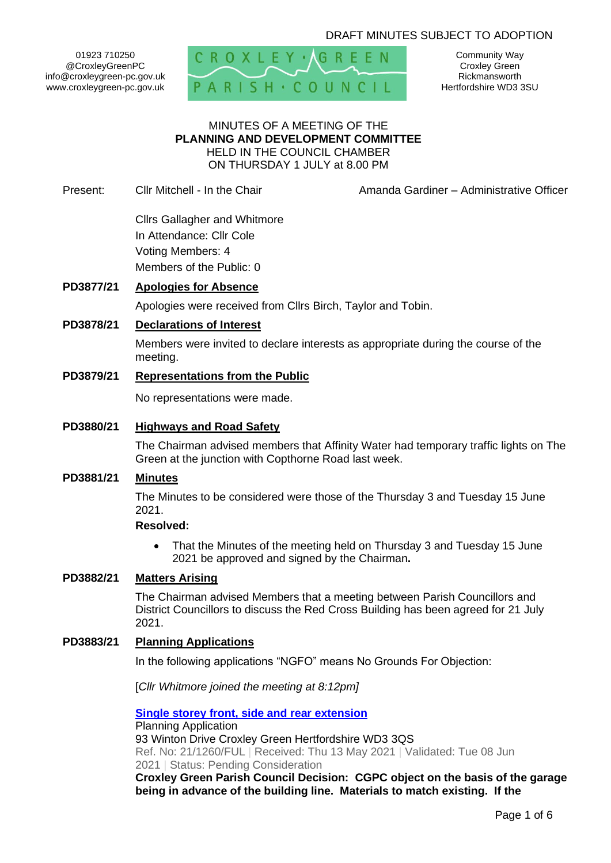# DRAFT MINUTES SUBJECT TO ADOPTION

01923 710250 @CroxleyGreenPC info@croxleygreen-pc.gov.uk www.croxleygreen-pc.gov.uk



Community Way Croxley Green Rickmansworth Hertfordshire WD3 3SU

#### MINUTES OF A MEETING OF THE **PLANNING AND DEVELOPMENT COMMITTEE** HELD IN THE COUNCIL CHAMBER ON THURSDAY 1 JULY at 8.00 PM

Present: Cllr Mitchell - In the Chair **Amanda Gardiner – Administrative Officer** 

Cllrs Gallagher and Whitmore In Attendance: Cllr Cole Voting Members: 4 Members of the Public: 0

# **PD3877/21 Apologies for Absence**

Apologies were received from Cllrs Birch, Taylor and Tobin.

## **PD3878/21 Declarations of Interest**

Members were invited to declare interests as appropriate during the course of the meeting.

# **PD3879/21 Representations from the Public**

No representations were made.

## **PD3880/21 Highways and Road Safety**

The Chairman advised members that Affinity Water had temporary traffic lights on The Green at the junction with Copthorne Road last week.

# **PD3881/21 Minutes**

The Minutes to be considered were those of the Thursday 3 and Tuesday 15 June 2021.

#### **Resolved:**

• That the Minutes of the meeting held on Thursday 3 and Tuesday 15 June 2021 be approved and signed by the Chairman**.**

# **PD3882/21 Matters Arising**

The Chairman advised Members that a meeting between Parish Councillors and District Councillors to discuss the Red Cross Building has been agreed for 21 July 2021.

#### **PD3883/21 Planning Applications**

In the following applications "NGFO" means No Grounds For Objection:

[*Cllr Whitmore joined the meeting at 8:12pm]*

**[Single storey front, side and rear extension](https://www3.threerivers.gov.uk/online-applications/applicationDetails.do?activeTab=summary&keyVal=QT1S5HQF0D100&prevPage=inTray)** Planning Application 93 Winton Drive Croxley Green Hertfordshire WD3 3QS Ref. No: 21/1260/FUL | Received: Thu 13 May 2021 | Validated: Tue 08 Jun 2021 | Status: Pending Consideration

**Croxley Green Parish Council Decision: CGPC object on the basis of the garage being in advance of the building line. Materials to match existing. If the**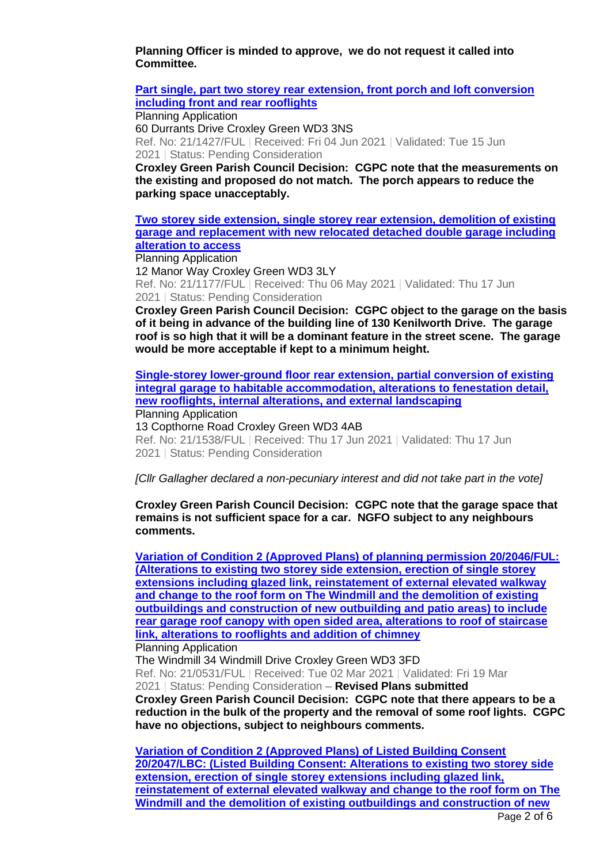**Planning Officer is minded to approve, we do not request it called into Committee.**

**[Part single, part two storey rear extension, front porch and loft conversion](https://www3.threerivers.gov.uk/online-applications/applicationDetails.do?activeTab=summary&keyVal=QU60TYQFG4700&prevPage=inTray)  [including front and rear rooflights](https://www3.threerivers.gov.uk/online-applications/applicationDetails.do?activeTab=summary&keyVal=QU60TYQFG4700&prevPage=inTray)**

Planning Application 60 Durrants Drive Croxley Green WD3 3NS Ref. No: 21/1427/FUL | Received: Fri 04 Jun 2021 | Validated: Tue 15 Jun 2021 | Status: Pending Consideration

**Croxley Green Parish Council Decision: CGPC note that the measurements on the existing and proposed do not match. The porch appears to reduce the parking space unacceptably.**

**[Two storey side extension, single storey rear extension, demolition of existing](https://www3.threerivers.gov.uk/online-applications/applicationDetails.do?activeTab=summary&keyVal=QSOMLHQFFQG00&prevPage=inTray)  [garage and replacement with new relocated detached double garage including](https://www3.threerivers.gov.uk/online-applications/applicationDetails.do?activeTab=summary&keyVal=QSOMLHQFFQG00&prevPage=inTray)  [alteration to access](https://www3.threerivers.gov.uk/online-applications/applicationDetails.do?activeTab=summary&keyVal=QSOMLHQFFQG00&prevPage=inTray)**

Planning Application

12 Manor Way Croxley Green WD3 3LY Ref. No: 21/1177/FUL | Received: Thu 06 May 2021 | Validated: Thu 17 Jun 2021 | Status: Pending Consideration

**Croxley Green Parish Council Decision: CGPC object to the garage on the basis of it being in advance of the building line of 130 Kenilworth Drive. The garage roof is so high that it will be a dominant feature in the street scene. The garage would be more acceptable if kept to a minimum height.**

**[Single-storey lower-ground floor rear extension, partial conversion of existing](https://www3.threerivers.gov.uk/online-applications/applicationDetails.do?activeTab=summary&keyVal=QUUEKIQFG9V00&prevPage=inTray)  [integral garage to habitable accommodation, alterations to fenestation detail,](https://www3.threerivers.gov.uk/online-applications/applicationDetails.do?activeTab=summary&keyVal=QUUEKIQFG9V00&prevPage=inTray)  [new rooflights, internal alterations, and external landscaping](https://www3.threerivers.gov.uk/online-applications/applicationDetails.do?activeTab=summary&keyVal=QUUEKIQFG9V00&prevPage=inTray)**

Planning Application

13 Copthorne Road Croxley Green WD3 4AB

Ref. No: 21/1538/FUL | Received: Thu 17 Jun 2021 | Validated: Thu 17 Jun 2021 | Status: Pending Consideration

*[Cllr Gallagher declared a non-pecuniary interest and did not take part in the vote]*

**Croxley Green Parish Council Decision: CGPC note that the garage space that remains is not sufficient space for a car. NGFO subject to any neighbours comments.**

**[Variation of Condition 2 \(Approved Plans\) of planning permission 20/2046/FUL:](https://www3.threerivers.gov.uk/online-applications/applicationDetails.do?activeTab=summary&keyVal=QPCC3OQFMJO00&prevPage=inTray)  [\(Alterations to existing two storey side extension, erection](https://www3.threerivers.gov.uk/online-applications/applicationDetails.do?activeTab=summary&keyVal=QPCC3OQFMJO00&prevPage=inTray) of single storey [extensions including glazed link, reinstatement of external elevated walkway](https://www3.threerivers.gov.uk/online-applications/applicationDetails.do?activeTab=summary&keyVal=QPCC3OQFMJO00&prevPage=inTray)  [and change to the roof form on The Windmill and the demolition of existing](https://www3.threerivers.gov.uk/online-applications/applicationDetails.do?activeTab=summary&keyVal=QPCC3OQFMJO00&prevPage=inTray)  [outbuildings and construction of new outbuilding and patio areas\) to include](https://www3.threerivers.gov.uk/online-applications/applicationDetails.do?activeTab=summary&keyVal=QPCC3OQFMJO00&prevPage=inTray)  [rear garage roof canopy with open sided area, alterations to roof of staircase](https://www3.threerivers.gov.uk/online-applications/applicationDetails.do?activeTab=summary&keyVal=QPCC3OQFMJO00&prevPage=inTray)  [link, alterations to rooflights and addition of chimney](https://www3.threerivers.gov.uk/online-applications/applicationDetails.do?activeTab=summary&keyVal=QPCC3OQFMJO00&prevPage=inTray)** Planning Application

The Windmill 34 Windmill Drive Croxley Green WD3 3FD Ref. No: 21/0531/FUL | Received: Tue 02 Mar 2021 | Validated: Fri 19 Mar 2021 | Status: Pending Consideration – **Revised Plans submitted Croxley Green Parish Council Decision: CGPC note that there appears to be a reduction in the bulk of the property and the removal of some roof lights. CGPC have no objections, subject to neighbours comments.**

**[Variation of Condition 2 \(Approved Plans\) of Listed Building Consent](https://www3.threerivers.gov.uk/online-applications/applicationDetails.do?activeTab=summary&keyVal=QPCC4KQFMJP00&prevPage=inTray)  [20/2047/LBC: \(Listed Building Consent: Alterations to existing two storey side](https://www3.threerivers.gov.uk/online-applications/applicationDetails.do?activeTab=summary&keyVal=QPCC4KQFMJP00&prevPage=inTray)  [extension, erection of single storey extensions including glazed link,](https://www3.threerivers.gov.uk/online-applications/applicationDetails.do?activeTab=summary&keyVal=QPCC4KQFMJP00&prevPage=inTray)  [reinstatement of external elevated walkway and change to the roof form on The](https://www3.threerivers.gov.uk/online-applications/applicationDetails.do?activeTab=summary&keyVal=QPCC4KQFMJP00&prevPage=inTray)  [Windmill and the demolition of existing outbuildings and construction of new](https://www3.threerivers.gov.uk/online-applications/applicationDetails.do?activeTab=summary&keyVal=QPCC4KQFMJP00&prevPage=inTray)**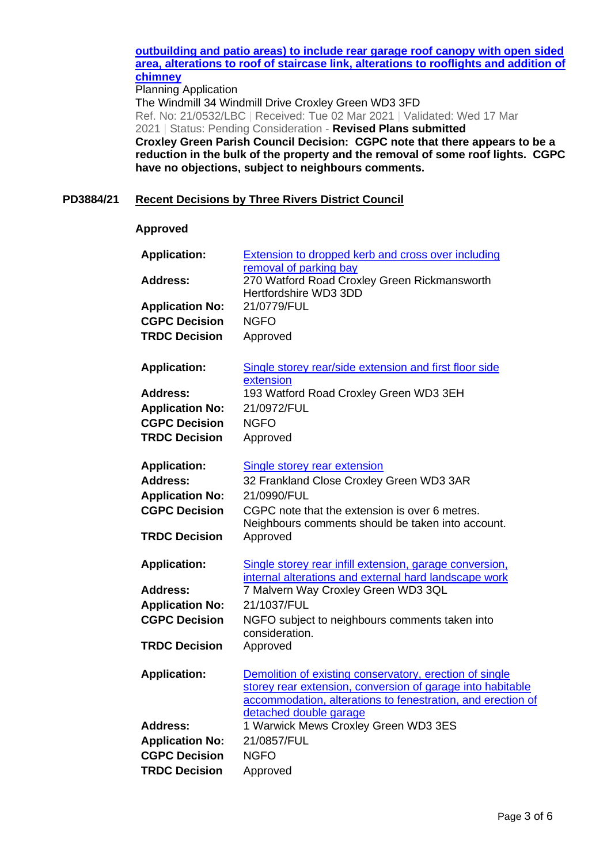# **[outbuilding and patio areas\) to include rear garage roof canopy with open](https://www3.threerivers.gov.uk/online-applications/applicationDetails.do?activeTab=summary&keyVal=QPCC4KQFMJP00&prevPage=inTray) sided [area, alterations to roof of staircase link, alterations to rooflights and addition of](https://www3.threerivers.gov.uk/online-applications/applicationDetails.do?activeTab=summary&keyVal=QPCC4KQFMJP00&prevPage=inTray)  [chimney](https://www3.threerivers.gov.uk/online-applications/applicationDetails.do?activeTab=summary&keyVal=QPCC4KQFMJP00&prevPage=inTray)**

Planning Application The Windmill 34 Windmill Drive Croxley Green WD3 3FD Ref. No: 21/0532/LBC | Received: Tue 02 Mar 2021 | Validated: Wed 17 Mar 2021 | Status: Pending Consideration - **Revised Plans submitted Croxley Green Parish Council Decision: CGPC note that there appears to be a reduction in the bulk of the property and the removal of some roof lights. CGPC have no objections, subject to neighbours comments.**

## **PD3884/21 Recent Decisions by Three Rivers District Council**

#### **Approved**

| <b>Application:</b>                            | <b>Extension to dropped kerb and cross over including</b>              |
|------------------------------------------------|------------------------------------------------------------------------|
| <b>Address:</b>                                | removal of parking bay<br>270 Watford Road Croxley Green Rickmansworth |
|                                                | Hertfordshire WD3 3DD                                                  |
| <b>Application No:</b>                         | 21/0779/FUL                                                            |
| <b>CGPC Decision</b>                           | <b>NGFO</b>                                                            |
| <b>TRDC Decision</b>                           | Approved                                                               |
|                                                |                                                                        |
| <b>Application:</b>                            | Single storey rear/side extension and first floor side                 |
|                                                | extension                                                              |
| <b>Address:</b>                                | 193 Watford Road Croxley Green WD3 3EH                                 |
| <b>Application No:</b>                         | 21/0972/FUL                                                            |
| <b>CGPC Decision</b>                           | <b>NGFO</b>                                                            |
| <b>TRDC Decision</b>                           | Approved                                                               |
| <b>Application:</b>                            | <b>Single storey rear extension</b>                                    |
| <b>Address:</b>                                | 32 Frankland Close Croxley Green WD3 3AR                               |
| <b>Application No:</b>                         | 21/0990/FUL                                                            |
| <b>CGPC Decision</b>                           | CGPC note that the extension is over 6 metres.                         |
|                                                | Neighbours comments should be taken into account.                      |
| <b>TRDC Decision</b>                           | Approved                                                               |
| <b>Application:</b>                            | Single storey rear infill extension, garage conversion,                |
|                                                | internal alterations and external hard landscape work                  |
| <b>Address:</b>                                | 7 Malvern Way Croxley Green WD3 3QL                                    |
| <b>Application No:</b>                         | 21/1037/FUL                                                            |
| <b>CGPC Decision</b>                           | NGFO subject to neighbours comments taken into                         |
| <b>TRDC Decision</b>                           | consideration.<br>Approved                                             |
|                                                |                                                                        |
| <b>Application:</b>                            | Demolition of existing conservatory, erection of single                |
|                                                | storey rear extension, conversion of garage into habitable             |
|                                                | accommodation, alterations to fenestration, and erection of            |
| <b>Address:</b>                                | detached double garage<br>1 Warwick Mews Croxley Green WD3 3ES         |
|                                                | 21/0857/FUL                                                            |
| <b>Application No:</b><br><b>CGPC Decision</b> | <b>NGFO</b>                                                            |
| <b>TRDC Decision</b>                           |                                                                        |
|                                                | Approved                                                               |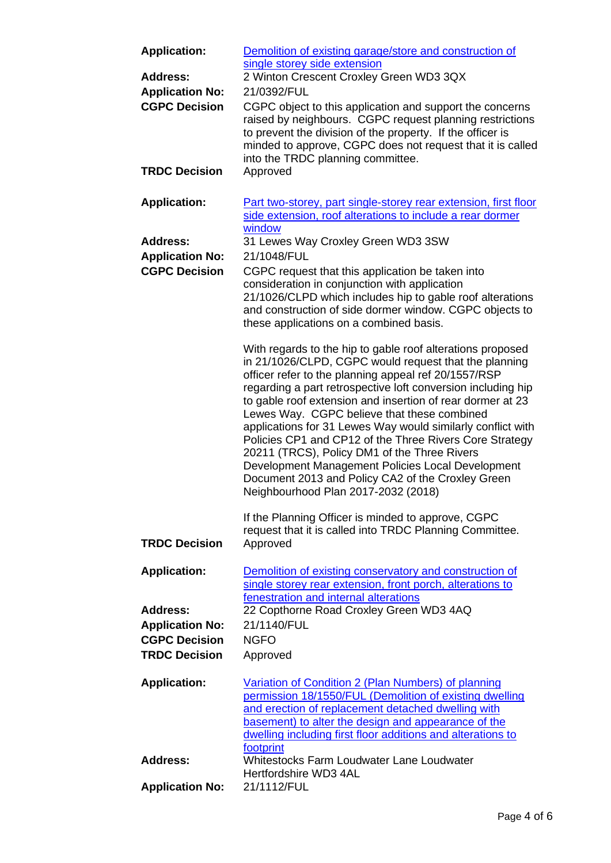| <b>Application:</b><br><b>Address:</b>         | Demolition of existing garage/store and construction of<br>single storey side extension<br>2 Winton Crescent Croxley Green WD3 3QX                                                                                                                                                                                                                                                                                                                                                                                                                                                                                                                                                  |
|------------------------------------------------|-------------------------------------------------------------------------------------------------------------------------------------------------------------------------------------------------------------------------------------------------------------------------------------------------------------------------------------------------------------------------------------------------------------------------------------------------------------------------------------------------------------------------------------------------------------------------------------------------------------------------------------------------------------------------------------|
| <b>Application No:</b><br><b>CGPC Decision</b> | 21/0392/FUL<br>CGPC object to this application and support the concerns<br>raised by neighbours. CGPC request planning restrictions<br>to prevent the division of the property. If the officer is<br>minded to approve, CGPC does not request that it is called<br>into the TRDC planning committee.                                                                                                                                                                                                                                                                                                                                                                                |
| <b>TRDC Decision</b>                           | Approved                                                                                                                                                                                                                                                                                                                                                                                                                                                                                                                                                                                                                                                                            |
| <b>Application:</b>                            | Part two-storey, part single-storey rear extension, first floor<br>side extension, roof alterations to include a rear dormer<br>window                                                                                                                                                                                                                                                                                                                                                                                                                                                                                                                                              |
| <b>Address:</b>                                | 31 Lewes Way Croxley Green WD3 3SW                                                                                                                                                                                                                                                                                                                                                                                                                                                                                                                                                                                                                                                  |
| <b>Application No:</b>                         | 21/1048/FUL                                                                                                                                                                                                                                                                                                                                                                                                                                                                                                                                                                                                                                                                         |
| <b>CGPC Decision</b>                           | CGPC request that this application be taken into<br>consideration in conjunction with application<br>21/1026/CLPD which includes hip to gable roof alterations<br>and construction of side dormer window. CGPC objects to<br>these applications on a combined basis.                                                                                                                                                                                                                                                                                                                                                                                                                |
|                                                | With regards to the hip to gable roof alterations proposed<br>in 21/1026/CLPD, CGPC would request that the planning<br>officer refer to the planning appeal ref 20/1557/RSP<br>regarding a part retrospective loft conversion including hip<br>to gable roof extension and insertion of rear dormer at 23<br>Lewes Way. CGPC believe that these combined<br>applications for 31 Lewes Way would similarly conflict with<br>Policies CP1 and CP12 of the Three Rivers Core Strategy<br>20211 (TRCS), Policy DM1 of the Three Rivers<br>Development Management Policies Local Development<br>Document 2013 and Policy CA2 of the Croxley Green<br>Neighbourhood Plan 2017-2032 (2018) |
| <b>TRDC Decision</b>                           | If the Planning Officer is minded to approve, CGPC<br>request that it is called into TRDC Planning Committee.<br>Approved                                                                                                                                                                                                                                                                                                                                                                                                                                                                                                                                                           |
| <b>Application:</b>                            | Demolition of existing conservatory and construction of<br>single storey rear extension, front porch, alterations to<br>fenestration and internal alterations                                                                                                                                                                                                                                                                                                                                                                                                                                                                                                                       |
| <b>Address:</b>                                | 22 Copthorne Road Croxley Green WD3 4AQ                                                                                                                                                                                                                                                                                                                                                                                                                                                                                                                                                                                                                                             |
| <b>Application No:</b>                         | 21/1140/FUL                                                                                                                                                                                                                                                                                                                                                                                                                                                                                                                                                                                                                                                                         |
| <b>CGPC Decision</b><br><b>TRDC Decision</b>   | <b>NGFO</b><br>Approved                                                                                                                                                                                                                                                                                                                                                                                                                                                                                                                                                                                                                                                             |
|                                                |                                                                                                                                                                                                                                                                                                                                                                                                                                                                                                                                                                                                                                                                                     |
| <b>Application:</b>                            | Variation of Condition 2 (Plan Numbers) of planning<br>permission 18/1550/FUL (Demolition of existing dwelling<br>and erection of replacement detached dwelling with<br>basement) to alter the design and appearance of the<br>dwelling including first floor additions and alterations to<br>footprint                                                                                                                                                                                                                                                                                                                                                                             |
| <b>Address:</b>                                | Whitestocks Farm Loudwater Lane Loudwater<br>Hertfordshire WD3 4AL                                                                                                                                                                                                                                                                                                                                                                                                                                                                                                                                                                                                                  |
| <b>Application No:</b>                         | 21/1112/FUL                                                                                                                                                                                                                                                                                                                                                                                                                                                                                                                                                                                                                                                                         |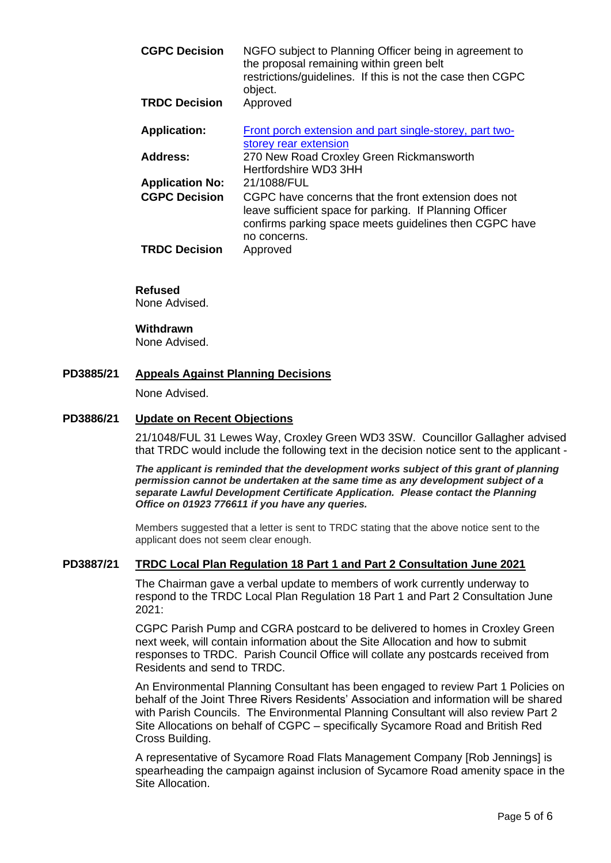| <b>CGPC Decision</b>   | NGFO subject to Planning Officer being in agreement to<br>the proposal remaining within green belt<br>restrictions/guidelines. If this is not the case then CGPC<br>object.               |
|------------------------|-------------------------------------------------------------------------------------------------------------------------------------------------------------------------------------------|
| <b>TRDC Decision</b>   | Approved                                                                                                                                                                                  |
| <b>Application:</b>    | Front porch extension and part single-storey, part two-<br>storey rear extension                                                                                                          |
| Address:               | 270 New Road Croxley Green Rickmansworth<br>Hertfordshire WD3 3HH                                                                                                                         |
| <b>Application No:</b> | 21/1088/FUL                                                                                                                                                                               |
| <b>CGPC Decision</b>   | CGPC have concerns that the front extension does not<br>leave sufficient space for parking. If Planning Officer<br>confirms parking space meets guidelines then CGPC have<br>no concerns. |
| <b>TRDC Decision</b>   | Approved                                                                                                                                                                                  |

## **Refused**

None Advised.

#### **Withdrawn**

None Advised.

#### **PD3885/21 Appeals Against Planning Decisions**

None Advised.

#### **PD3886/21 Update on Recent Objections**

21/1048/FUL 31 Lewes Way, Croxley Green WD3 3SW. Councillor Gallagher advised that TRDC would include the following text in the decision notice sent to the applicant -

*The applicant is reminded that the development works subject of this grant of planning permission cannot be undertaken at the same time as any development subject of a separate Lawful Development Certificate Application. Please contact the Planning Office on 01923 776611 if you have any queries.*

Members suggested that a letter is sent to TRDC stating that the above notice sent to the applicant does not seem clear enough.

## **PD3887/21 TRDC Local Plan Regulation 18 Part 1 and Part 2 Consultation June 2021**

The Chairman gave a verbal update to members of work currently underway to respond to the TRDC Local Plan Regulation 18 Part 1 and Part 2 Consultation June 2021:

CGPC Parish Pump and CGRA postcard to be delivered to homes in Croxley Green next week, will contain information about the Site Allocation and how to submit responses to TRDC. Parish Council Office will collate any postcards received from Residents and send to TRDC.

An Environmental Planning Consultant has been engaged to review Part 1 Policies on behalf of the Joint Three Rivers Residents' Association and information will be shared with Parish Councils. The Environmental Planning Consultant will also review Part 2 Site Allocations on behalf of CGPC – specifically Sycamore Road and British Red Cross Building.

A representative of Sycamore Road Flats Management Company [Rob Jennings] is spearheading the campaign against inclusion of Sycamore Road amenity space in the Site Allocation.